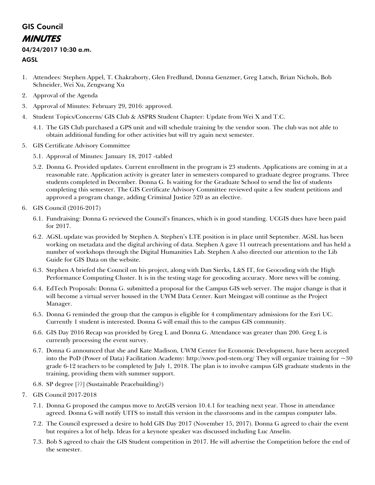## GIS Council MINUTES

## 04/24/2017 10:30 a.m.

## AGSL

- 1. Attendees: Stephen Appel, T. Chakraborty, Glen Fredlund, Donna Genzmer, Greg Latsch, Brian Nichols, Bob Schneider, Wei Xu, Zengwang Xu
- 2. Approval of the Agenda
- 3. Approval of Minutes: February 29, 2016: approved.
- 4. Student Topics/Concerns/ GIS Club & ASPRS Student Chapter: Update from Wei X and T.C.
	- 4.1. The GIS Club purchased a GPS unit and will schedule training by the vendor soon. The club was not able to obtain additional funding for other activities but will try again next semester.
- 5. GIS Certificate Advisory Committee
	- 5.1. Approval of Minutes: January 18, 2017 -tabled
	- 5.2. Donna G. Provided updates. Current enrollment in the program is 23 students. Applications are coming in at a reasonable rate. Application activity is greater later in semesters compared to graduate degree programs. Three students completed in December. Donna G. Is waiting for the Graduate School to send the list of students completing this semester. The GIS Certificate Advisory Committee reviewed quite a few student petitions and approved a program change, adding Criminal Justice 520 as an elective.
- 6. GIS Council (2016-2017)
	- 6.1. Fundraising: Donna G reviewed the Council's finances, which is in good standing. UCGIS dues have been paid for 2017.
	- 6.2. AGSL update was provided by Stephen A. Stephen's LTE position is in place until September. AGSL has been working on metadata and the digital archiving of data. Stephen A gave 11 outreach presentations and has held a number of workshops through the Digital Humanities Lab. Stephen A also directed our attention to the Lib Guide for GIS Data on the website.
	- 6.3. Stephen A briefed the Council on his project, along with Dan Sierks, L&S IT, for Geocoding with the High Performance Computing Cluster. It is in the testing stage for geocoding accuracy. More news will be coming.
	- 6.4. EdTech Proposals: Donna G. submitted a proposal for the Campus GIS web server. The major change is that it will become a virtual server housed in the UWM Data Center. Kurt Meingast will continue as the Project Manager.
	- 6.5. Donna G reminded the group that the campus is eligible for 4 complimentary admissions for the Esri UC. Currently 1 student is interested. Donna G will email this to the campus GIS community.
	- 6.6. GIS Day 2016 Recap was provided by Greg L and Donna G. Attendance was greater than 200. Greg L is currently processing the event survey.
	- 6.7. Donna G announced that she and Kate Madison, UWM Center for Economic Development, have been accepted into the PoD (Power of Data) Facilitation Academy: http://www.pod-stem.org/ They will organize training for  $\sim 30$ grade 6-12 teachers to be completed by July 1, 2018. The plan is to involve campus GIS graduate students in the training, providing them with summer support.
	- 6.8. SP degree [??] (Sustainable Peacebuilding?)
- 7. GIS Council 2017-2018
	- 7.1. Donna G proposed the campus move to ArcGIS version 10.4.1 for teaching next year. Those in attendance agreed. Donna G will notify UITS to install this version in the classrooms and in the campus computer labs.
	- 7.2. The Council expressed a desire to hold GIS Day 2017 (November 15, 2017). Donna G agreed to chair the event but requires a lot of help. Ideas for a keynote speaker was discussed including Luc Anselin.
	- 7.3. Bob S agreed to chair the GIS Student competition in 2017. He will advertise the Competition before the end of the semester.